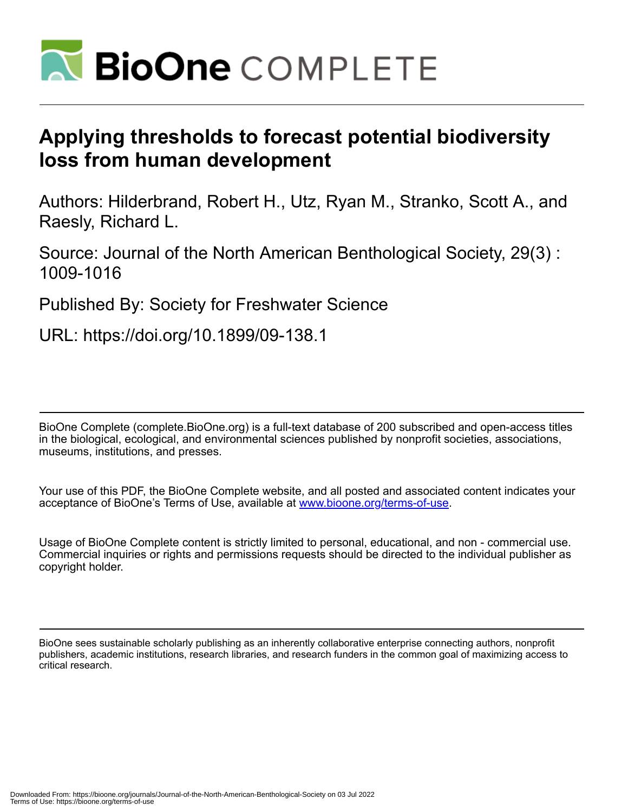

# **Applying thresholds to forecast potential biodiversity loss from human development**

Authors: Hilderbrand, Robert H., Utz, Ryan M., Stranko, Scott A., and Raesly, Richard L.

Source: Journal of the North American Benthological Society, 29(3) : 1009-1016

Published By: Society for Freshwater Science

URL: https://doi.org/10.1899/09-138.1

BioOne Complete (complete.BioOne.org) is a full-text database of 200 subscribed and open-access titles in the biological, ecological, and environmental sciences published by nonprofit societies, associations, museums, institutions, and presses.

Your use of this PDF, the BioOne Complete website, and all posted and associated content indicates your acceptance of BioOne's Terms of Use, available at www.bioone.org/terms-of-use.

Usage of BioOne Complete content is strictly limited to personal, educational, and non - commercial use. Commercial inquiries or rights and permissions requests should be directed to the individual publisher as copyright holder.

BioOne sees sustainable scholarly publishing as an inherently collaborative enterprise connecting authors, nonprofit publishers, academic institutions, research libraries, and research funders in the common goal of maximizing access to critical research.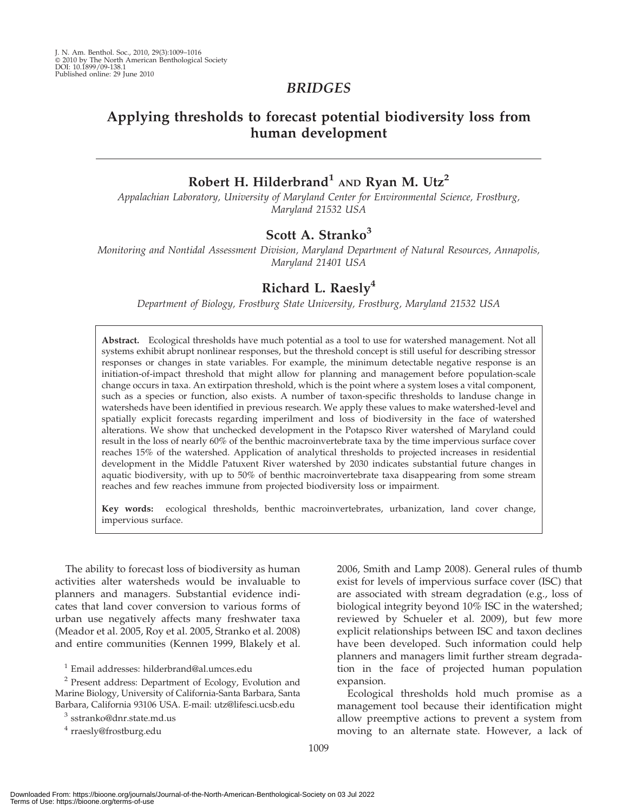# BRIDGES

# Applying thresholds to forecast potential biodiversity loss from human development

# Robert H. Hilderbrand<sup>1</sup> AND Ryan M. Utz<sup>2</sup>

Appalachian Laboratory, University of Maryland Center for Environmental Science, Frostburg, Maryland 21532 USA

## Scott A. Stranko<sup>3</sup>

Monitoring and Nontidal Assessment Division, Maryland Department of Natural Resources, Annapolis, Maryland 21401 USA

# Richard L. Raesly<sup>4</sup>

Department of Biology, Frostburg State University, Frostburg, Maryland 21532 USA

Abstract. Ecological thresholds have much potential as a tool to use for watershed management. Not all systems exhibit abrupt nonlinear responses, but the threshold concept is still useful for describing stressor responses or changes in state variables. For example, the minimum detectable negative response is an initiation-of-impact threshold that might allow for planning and management before population-scale change occurs in taxa. An extirpation threshold, which is the point where a system loses a vital component, such as a species or function, also exists. A number of taxon-specific thresholds to landuse change in watersheds have been identified in previous research. We apply these values to make watershed-level and spatially explicit forecasts regarding imperilment and loss of biodiversity in the face of watershed alterations. We show that unchecked development in the Potapsco River watershed of Maryland could result in the loss of nearly 60% of the benthic macroinvertebrate taxa by the time impervious surface cover reaches 15% of the watershed. Application of analytical thresholds to projected increases in residential development in the Middle Patuxent River watershed by 2030 indicates substantial future changes in aquatic biodiversity, with up to 50% of benthic macroinvertebrate taxa disappearing from some stream reaches and few reaches immune from projected biodiversity loss or impairment.

Key words: ecological thresholds, benthic macroinvertebrates, urbanization, land cover change, impervious surface.

The ability to forecast loss of biodiversity as human activities alter watersheds would be invaluable to planners and managers. Substantial evidence indicates that land cover conversion to various forms of urban use negatively affects many freshwater taxa (Meador et al. 2005, Roy et al. 2005, Stranko et al. 2008) and entire communities (Kennen 1999, Blakely et al.

<sup>1</sup> Email addresses: hilderbrand@al.umces.edu

<sup>2</sup> Present address: Department of Ecology, Evolution and Marine Biology, University of California-Santa Barbara, Santa Barbara, California 93106 USA. E-mail: utz@lifesci.ucsb.edu

<sup>3</sup> sstranko@dnr.state.md.us

<sup>4</sup> rraesly@frostburg.edu

2006, Smith and Lamp 2008). General rules of thumb exist for levels of impervious surface cover (ISC) that are associated with stream degradation (e.g., loss of biological integrity beyond 10% ISC in the watershed; reviewed by Schueler et al. 2009), but few more explicit relationships between ISC and taxon declines have been developed. Such information could help planners and managers limit further stream degradation in the face of projected human population expansion.

Ecological thresholds hold much promise as a management tool because their identification might allow preemptive actions to prevent a system from moving to an alternate state. However, a lack of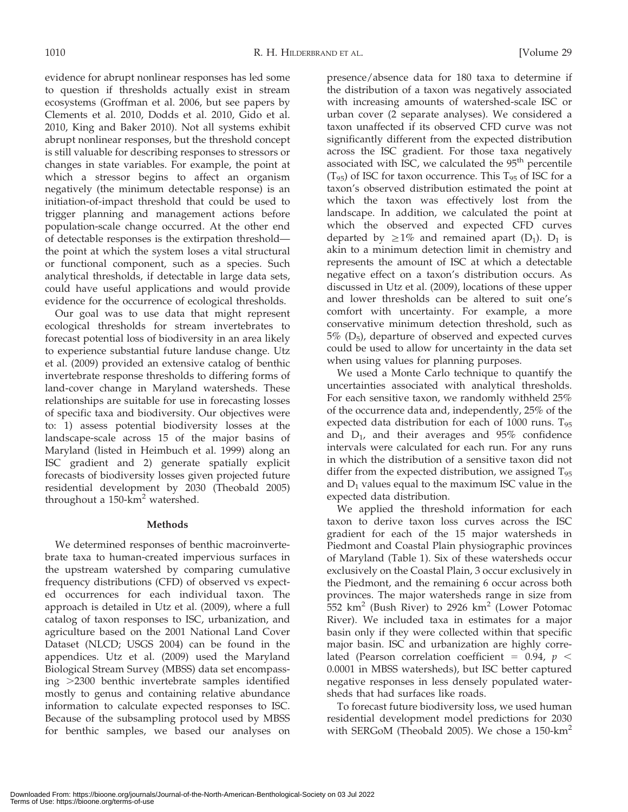evidence for abrupt nonlinear responses has led some to question if thresholds actually exist in stream ecosystems (Groffman et al. 2006, but see papers by Clements et al. 2010, Dodds et al. 2010, Gido et al. 2010, King and Baker 2010). Not all systems exhibit abrupt nonlinear responses, but the threshold concept is still valuable for describing responses to stressors or changes in state variables. For example, the point at which a stressor begins to affect an organism negatively (the minimum detectable response) is an initiation-of-impact threshold that could be used to trigger planning and management actions before population-scale change occurred. At the other end of detectable responses is the extirpation threshold the point at which the system loses a vital structural or functional component, such as a species. Such analytical thresholds, if detectable in large data sets, could have useful applications and would provide evidence for the occurrence of ecological thresholds.

Our goal was to use data that might represent ecological thresholds for stream invertebrates to forecast potential loss of biodiversity in an area likely to experience substantial future landuse change. Utz et al. (2009) provided an extensive catalog of benthic invertebrate response thresholds to differing forms of land-cover change in Maryland watersheds. These relationships are suitable for use in forecasting losses of specific taxa and biodiversity. Our objectives were to: 1) assess potential biodiversity losses at the landscape-scale across 15 of the major basins of Maryland (listed in Heimbuch et al. 1999) along an ISC gradient and 2) generate spatially explicit forecasts of biodiversity losses given projected future residential development by 2030 (Theobald 2005) throughout a  $150$ -km<sup>2</sup> watershed.

### Methods

We determined responses of benthic macroinvertebrate taxa to human-created impervious surfaces in the upstream watershed by comparing cumulative frequency distributions (CFD) of observed vs expected occurrences for each individual taxon. The approach is detailed in Utz et al. (2009), where a full catalog of taxon responses to ISC, urbanization, and agriculture based on the 2001 National Land Cover Dataset (NLCD; USGS 2004) can be found in the appendices. Utz et al. (2009) used the Maryland Biological Stream Survey (MBSS) data set encompassing  $>2300$  benthic invertebrate samples identified mostly to genus and containing relative abundance information to calculate expected responses to ISC. Because of the subsampling protocol used by MBSS for benthic samples, we based our analyses on

presence/absence data for 180 taxa to determine if the distribution of a taxon was negatively associated with increasing amounts of watershed-scale ISC or urban cover (2 separate analyses). We considered a taxon unaffected if its observed CFD curve was not significantly different from the expected distribution across the ISC gradient. For those taxa negatively associated with ISC, we calculated the 95<sup>th</sup> percentile  $(T_{95})$  of ISC for taxon occurrence. This  $T_{95}$  of ISC for a taxon's observed distribution estimated the point at which the taxon was effectively lost from the landscape. In addition, we calculated the point at which the observed and expected CFD curves departed by  $\geq 1\%$  and remained apart (D<sub>1</sub>). D<sub>1</sub> is akin to a minimum detection limit in chemistry and represents the amount of ISC at which a detectable negative effect on a taxon's distribution occurs. As discussed in Utz et al. (2009), locations of these upper and lower thresholds can be altered to suit one's comfort with uncertainty. For example, a more conservative minimum detection threshold, such as  $5\%$  (D<sub>5</sub>), departure of observed and expected curves could be used to allow for uncertainty in the data set when using values for planning purposes.

We used a Monte Carlo technique to quantify the uncertainties associated with analytical thresholds. For each sensitive taxon, we randomly withheld 25% of the occurrence data and, independently, 25% of the expected data distribution for each of 1000 runs. T<sub>95</sub> and  $D_1$ , and their averages and  $95\%$  confidence intervals were calculated for each run. For any runs in which the distribution of a sensitive taxon did not differ from the expected distribution, we assigned  $T_{95}$ and  $D_1$  values equal to the maximum ISC value in the expected data distribution.

We applied the threshold information for each taxon to derive taxon loss curves across the ISC gradient for each of the 15 major watersheds in Piedmont and Coastal Plain physiographic provinces of Maryland (Table 1). Six of these watersheds occur exclusively on the Coastal Plain, 3 occur exclusively in the Piedmont, and the remaining 6 occur across both provinces. The major watersheds range in size from  $552$  km<sup>2</sup> (Bush River) to 2926 km<sup>2</sup> (Lower Potomac River). We included taxa in estimates for a major basin only if they were collected within that specific major basin. ISC and urbanization are highly correlated (Pearson correlation coefficient = 0.94,  $p <$ 0.0001 in MBSS watersheds), but ISC better captured negative responses in less densely populated watersheds that had surfaces like roads.

To forecast future biodiversity loss, we used human residential development model predictions for 2030 with SERGoM (Theobald 2005). We chose a  $150 \text{-} \text{km}^2$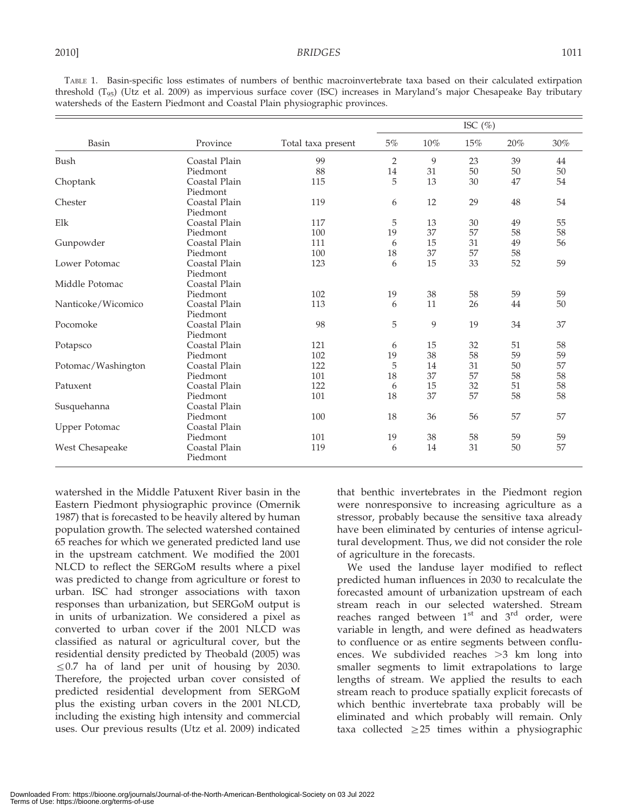TABLE 1. Basin-specific loss estimates of numbers of benthic macroinvertebrate taxa based on their calculated extirpation threshold (T95) (Utz et al. 2009) as impervious surface cover (ISC) increases in Maryland's major Chesapeake Bay tributary watersheds of the Eastern Piedmont and Coastal Plain physiographic provinces.

| Basin                | Province                  | Total taxa present | ISC $(\%)$     |        |     |     |     |
|----------------------|---------------------------|--------------------|----------------|--------|-----|-----|-----|
|                      |                           |                    | 5%             | $10\%$ | 15% | 20% | 30% |
| Bush                 | Coastal Plain             | 99                 | $\overline{2}$ | 9      | 23  | 39  | 44  |
|                      | Piedmont                  | 88                 | 14             | 31     | 50  | 50  | 50  |
| Choptank             | Coastal Plain<br>Piedmont | 115                | 5              | 13     | 30  | 47  | 54  |
| Chester              | Coastal Plain             | 119                | 6              | 12     | 29  | 48  | 54  |
|                      | Piedmont                  |                    |                |        |     |     |     |
| Elk                  | Coastal Plain             | 117                | 5              | 13     | 30  | 49  | 55  |
|                      | Piedmont                  | 100                | 19             | 37     | 57  | 58  | 58  |
| Gunpowder            | Coastal Plain             | 111                | 6              | 15     | 31  | 49  | 56  |
|                      | Piedmont                  | 100                | 18             | 37     | 57  | 58  |     |
| Lower Potomac        | Coastal Plain             | 123                | 6              | 15     | 33  | 52  | 59  |
|                      | Piedmont                  |                    |                |        |     |     |     |
| Middle Potomac       | Coastal Plain             |                    |                |        |     |     |     |
|                      | Piedmont                  | 102                | 19             | 38     | 58  | 59  | 59  |
| Nanticoke/Wicomico   | Coastal Plain             | 113                | 6              | 11     | 26  | 44  | 50  |
|                      | Piedmont                  |                    |                |        |     |     |     |
| Pocomoke             | Coastal Plain             | 98                 | 5              | 9      | 19  | 34  | 37  |
|                      | Piedmont                  |                    |                |        |     |     |     |
| Potapsco             | Coastal Plain             | 121                | 6              | 15     | 32  | 51  | 58  |
|                      | Piedmont                  | 102                | 19             | 38     | 58  | 59  | 59  |
| Potomac/Washington   | Coastal Plain             | 122                | 5              | 14     | 31  | 50  | 57  |
|                      | Piedmont                  | 101                | 18             | 37     | 57  | 58  | 58  |
| Patuxent             | Coastal Plain             | 122                | 6              | 15     | 32  | 51  | 58  |
|                      | Piedmont                  | 101                | 18             | 37     | 57  | 58  | 58  |
| Susquehanna          | Coastal Plain             |                    |                |        |     |     |     |
|                      | Piedmont                  | 100                | 18             | 36     | 56  | 57  | 57  |
| <b>Upper Potomac</b> | Coastal Plain             |                    |                |        |     |     |     |
|                      | Piedmont                  | 101                | 19             | 38     | 58  | 59  | 59  |
| West Chesapeake      | Coastal Plain<br>Piedmont | 119                | 6              | 14     | 31  | 50  | 57  |
|                      |                           |                    |                |        |     |     |     |

watershed in the Middle Patuxent River basin in the Eastern Piedmont physiographic province (Omernik 1987) that is forecasted to be heavily altered by human population growth. The selected watershed contained 65 reaches for which we generated predicted land use in the upstream catchment. We modified the 2001 NLCD to reflect the SERGoM results where a pixel was predicted to change from agriculture or forest to urban. ISC had stronger associations with taxon responses than urbanization, but SERGoM output is in units of urbanization. We considered a pixel as converted to urban cover if the 2001 NLCD was classified as natural or agricultural cover, but the residential density predicted by Theobald (2005) was  $\leq$  0.7 ha of land per unit of housing by 2030. Therefore, the projected urban cover consisted of predicted residential development from SERGoM plus the existing urban covers in the 2001 NLCD, including the existing high intensity and commercial uses. Our previous results (Utz et al. 2009) indicated that benthic invertebrates in the Piedmont region were nonresponsive to increasing agriculture as a stressor, probably because the sensitive taxa already have been eliminated by centuries of intense agricultural development. Thus, we did not consider the role of agriculture in the forecasts.

We used the landuse layer modified to reflect predicted human influences in 2030 to recalculate the forecasted amount of urbanization upstream of each stream reach in our selected watershed. Stream reaches ranged between  $1<sup>st</sup>$  and  $3<sup>rd</sup>$  order, were variable in length, and were defined as headwaters to confluence or as entire segments between confluences. We subdivided reaches  $>3$  km long into smaller segments to limit extrapolations to large lengths of stream. We applied the results to each stream reach to produce spatially explicit forecasts of which benthic invertebrate taxa probably will be eliminated and which probably will remain. Only taxa collected  $\geq$  25 times within a physiographic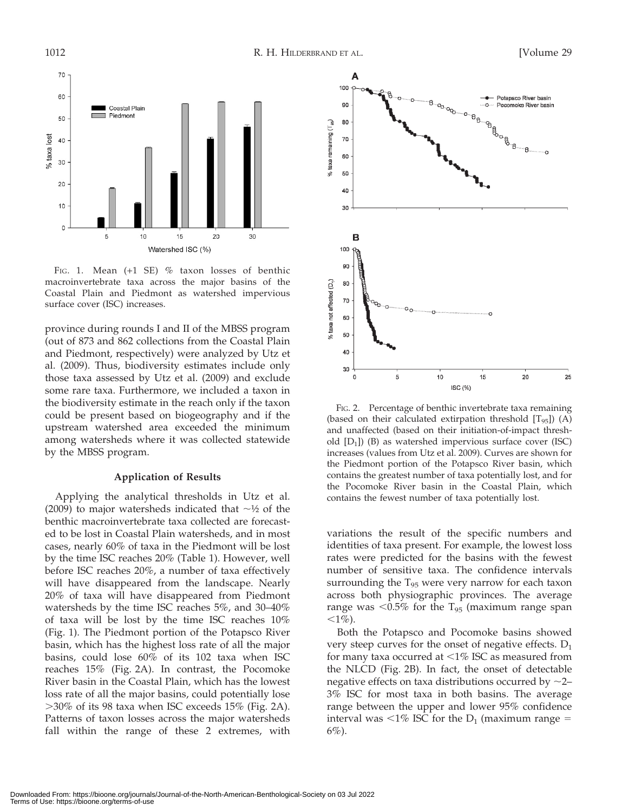

FIG. 1. Mean  $(+1$  SE) % taxon losses of benthic macroinvertebrate taxa across the major basins of the Coastal Plain and Piedmont as watershed impervious surface cover (ISC) increases.

province during rounds I and II of the MBSS program (out of 873 and 862 collections from the Coastal Plain and Piedmont, respectively) were analyzed by Utz et al. (2009). Thus, biodiversity estimates include only those taxa assessed by Utz et al. (2009) and exclude some rare taxa. Furthermore, we included a taxon in the biodiversity estimate in the reach only if the taxon could be present based on biogeography and if the upstream watershed area exceeded the minimum among watersheds where it was collected statewide by the MBSS program.

#### Application of Results

Applying the analytical thresholds in Utz et al. (2009) to major watersheds indicated that  $\sim$ 1/2 of the benthic macroinvertebrate taxa collected are forecasted to be lost in Coastal Plain watersheds, and in most cases, nearly 60% of taxa in the Piedmont will be lost by the time ISC reaches 20% (Table 1). However, well before ISC reaches 20%, a number of taxa effectively will have disappeared from the landscape. Nearly 20% of taxa will have disappeared from Piedmont watersheds by the time ISC reaches 5%, and 30–40% of taxa will be lost by the time ISC reaches 10% (Fig. 1). The Piedmont portion of the Potapsco River basin, which has the highest loss rate of all the major basins, could lose 60% of its 102 taxa when ISC reaches 15% (Fig. 2A). In contrast, the Pocomoke River basin in the Coastal Plain, which has the lowest loss rate of all the major basins, could potentially lose  $>30\%$  of its 98 taxa when ISC exceeds 15% (Fig. 2A). Patterns of taxon losses across the major watersheds fall within the range of these 2 extremes, with



FIG. 2. Percentage of benthic invertebrate taxa remaining (based on their calculated extirpation threshold  $[T_{95}]$ ) (A) and unaffected (based on their initiation-of-impact threshold  $[D_1]$ ) (B) as watershed impervious surface cover (ISC) increases (values from Utz et al. 2009). Curves are shown for the Piedmont portion of the Potapsco River basin, which contains the greatest number of taxa potentially lost, and for the Pocomoke River basin in the Coastal Plain, which contains the fewest number of taxa potentially lost.

variations the result of the specific numbers and identities of taxa present. For example, the lowest loss rates were predicted for the basins with the fewest number of sensitive taxa. The confidence intervals surrounding the  $T_{95}$  were very narrow for each taxon across both physiographic provinces. The average range was  $< 0.5\%$  for the T<sub>95</sub> (maximum range span ,1%).

Both the Potapsco and Pocomoke basins showed very steep curves for the onset of negative effects.  $D_1$ for many taxa occurred at  $\leq$ 1% ISC as measured from the NLCD (Fig. 2B). In fact, the onset of detectable negative effects on taxa distributions occurred by  $\sim$ 2– 3% ISC for most taxa in both basins. The average range between the upper and lower 95% confidence interval was  $\langle 1\%$  ISC for the D<sub>1</sub> (maximum range =  $6\%$ ).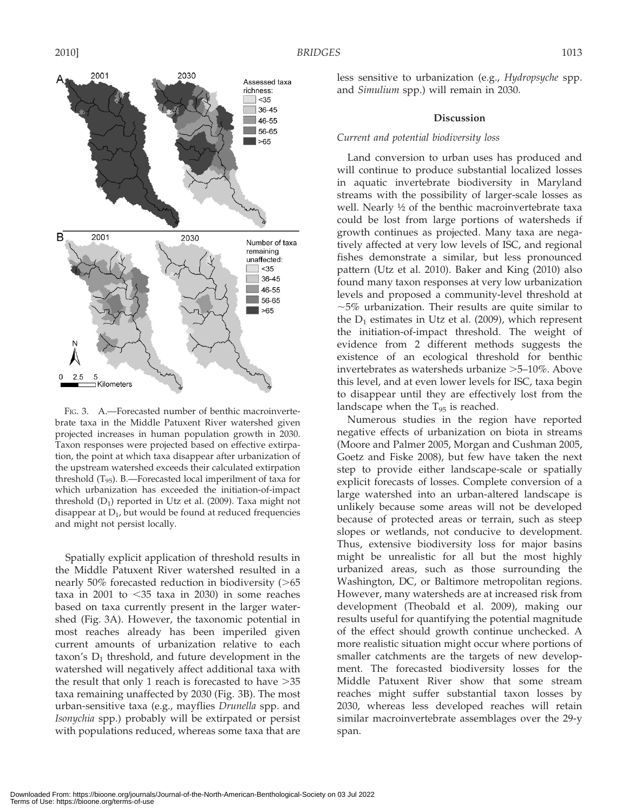

FIG. 3. A.-Forecasted number of benthic macroinvertebrate taxa in the Middle Patuxent River watershed given projected increases in human population growth in 2030. Taxon responses were projected based on effective extirpation, the point at which taxa disappear after urbanization of the upstream watershed exceeds their calculated extirpation threshold  $(T_{95})$ . B.—Forecasted local imperilment of taxa for which urbanization has exceeded the initiation-of-impact threshold  $(D_1)$  reported in Utz et al. (2009). Taxa might not disappear at  $D_1$ , but would be found at reduced frequencies and might not persist locally.

Spatially explicit application of threshold results in the Middle Patuxent River watershed resulted in a nearly  $50\%$  forecasted reduction in biodiversity ( $>65$ taxa in 2001 to  $\leq$ 35 taxa in 2030) in some reaches based on taxa currently present in the larger watershed (Fig. 3A). However, the taxonomic potential in most reaches already has been imperiled given current amounts of urbanization relative to each taxon's  $D_1$  threshold, and future development in the watershed will negatively affect additional taxa with the result that only 1 reach is forecasted to have  $>35$ taxa remaining unaffected by 2030 (Fig. 3B). The most urban-sensitive taxa (e.g., mayflies Drunella spp. and Isonychia spp.) probably will be extirpated or persist with populations reduced, whereas some taxa that are less sensitive to urbanization (e.g., Hydropsyche spp. and Simulium spp.) will remain in 2030.

#### Discussion

### Current and potential biodiversity loss

Land conversion to urban uses has produced and will continue to produce substantial localized losses in aquatic invertebrate biodiversity in Maryland streams with the possibility of larger-scale losses as well. Nearly ½ of the benthic macroinvertebrate taxa could be lost from large portions of watersheds if growth continues as projected. Many taxa are negatively affected at very low levels of ISC, and regional fishes demonstrate a similar, but less pronounced pattern (Utz et al. 2010). Baker and King (2010) also found many taxon responses at very low urbanization levels and proposed a community-level threshold at  $\sim$ 5% urbanization. Their results are quite similar to the  $D_1$  estimates in Utz et al. (2009), which represent the initiation-of-impact threshold. The weight of evidence from 2 different methods suggests the existence of an ecological threshold for benthic invertebrates as watersheds urbanize  $>5-10\%$ . Above this level, and at even lower levels for ISC, taxa begin to disappear until they are effectively lost from the landscape when the  $T_{95}$  is reached.

Numerous studies in the region have reported negative effects of urbanization on biota in streams (Moore and Palmer 2005, Morgan and Cushman 2005, Goetz and Fiske 2008), but few have taken the next step to provide either landscape-scale or spatially explicit forecasts of losses. Complete conversion of a large watershed into an urban-altered landscape is unlikely because some areas will not be developed because of protected areas or terrain, such as steep slopes or wetlands, not conducive to development. Thus, extensive biodiversity loss for major basins might be unrealistic for all but the most highly urbanized areas, such as those surrounding the Washington, DC, or Baltimore metropolitan regions. However, many watersheds are at increased risk from development (Theobald et al. 2009), making our results useful for quantifying the potential magnitude of the effect should growth continue unchecked. A more realistic situation might occur where portions of smaller catchments are the targets of new development. The forecasted biodiversity losses for the Middle Patuxent River show that some stream reaches might suffer substantial taxon losses by 2030, whereas less developed reaches will retain similar macroinvertebrate assemblages over the 29-y span.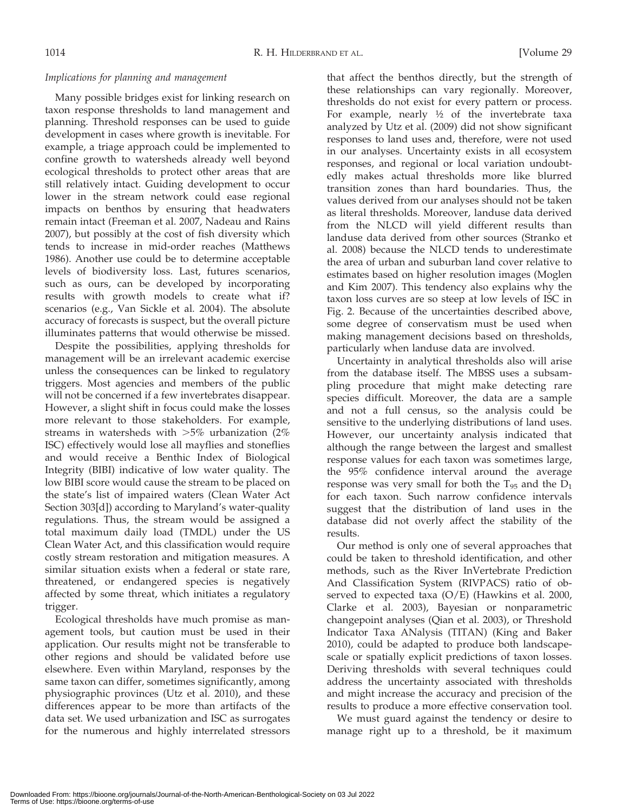### Implications for planning and management

Many possible bridges exist for linking research on taxon response thresholds to land management and planning. Threshold responses can be used to guide development in cases where growth is inevitable. For example, a triage approach could be implemented to confine growth to watersheds already well beyond ecological thresholds to protect other areas that are still relatively intact. Guiding development to occur lower in the stream network could ease regional impacts on benthos by ensuring that headwaters remain intact (Freeman et al. 2007, Nadeau and Rains 2007), but possibly at the cost of fish diversity which tends to increase in mid-order reaches (Matthews 1986). Another use could be to determine acceptable levels of biodiversity loss. Last, futures scenarios, such as ours, can be developed by incorporating results with growth models to create what if? scenarios (e.g., Van Sickle et al. 2004). The absolute accuracy of forecasts is suspect, but the overall picture illuminates patterns that would otherwise be missed.

Despite the possibilities, applying thresholds for management will be an irrelevant academic exercise unless the consequences can be linked to regulatory triggers. Most agencies and members of the public will not be concerned if a few invertebrates disappear. However, a slight shift in focus could make the losses more relevant to those stakeholders. For example, streams in watersheds with  $>5\%$  urbanization (2%) ISC) effectively would lose all mayflies and stoneflies and would receive a Benthic Index of Biological Integrity (BIBI) indicative of low water quality. The low BIBI score would cause the stream to be placed on the state's list of impaired waters (Clean Water Act Section 303[d]) according to Maryland's water-quality regulations. Thus, the stream would be assigned a total maximum daily load (TMDL) under the US Clean Water Act, and this classification would require costly stream restoration and mitigation measures. A similar situation exists when a federal or state rare, threatened, or endangered species is negatively affected by some threat, which initiates a regulatory trigger.

Ecological thresholds have much promise as management tools, but caution must be used in their application. Our results might not be transferable to other regions and should be validated before use elsewhere. Even within Maryland, responses by the same taxon can differ, sometimes significantly, among physiographic provinces (Utz et al. 2010), and these differences appear to be more than artifacts of the data set. We used urbanization and ISC as surrogates for the numerous and highly interrelated stressors

that affect the benthos directly, but the strength of these relationships can vary regionally. Moreover, thresholds do not exist for every pattern or process. For example, nearly ½ of the invertebrate taxa analyzed by Utz et al. (2009) did not show significant responses to land uses and, therefore, were not used in our analyses. Uncertainty exists in all ecosystem responses, and regional or local variation undoubtedly makes actual thresholds more like blurred transition zones than hard boundaries. Thus, the values derived from our analyses should not be taken as literal thresholds. Moreover, landuse data derived from the NLCD will yield different results than landuse data derived from other sources (Stranko et al. 2008) because the NLCD tends to underestimate the area of urban and suburban land cover relative to estimates based on higher resolution images (Moglen and Kim 2007). This tendency also explains why the taxon loss curves are so steep at low levels of ISC in Fig. 2. Because of the uncertainties described above, some degree of conservatism must be used when making management decisions based on thresholds, particularly when landuse data are involved.

Uncertainty in analytical thresholds also will arise from the database itself. The MBSS uses a subsampling procedure that might make detecting rare species difficult. Moreover, the data are a sample and not a full census, so the analysis could be sensitive to the underlying distributions of land uses. However, our uncertainty analysis indicated that although the range between the largest and smallest response values for each taxon was sometimes large, the 95% confidence interval around the average response was very small for both the  $T_{95}$  and the  $D_1$ for each taxon. Such narrow confidence intervals suggest that the distribution of land uses in the database did not overly affect the stability of the results.

Our method is only one of several approaches that could be taken to threshold identification, and other methods, such as the River InVertebrate Prediction And Classification System (RIVPACS) ratio of observed to expected taxa (O/E) (Hawkins et al. 2000, Clarke et al. 2003), Bayesian or nonparametric changepoint analyses (Qian et al. 2003), or Threshold Indicator Taxa ANalysis (TITAN) (King and Baker 2010), could be adapted to produce both landscapescale or spatially explicit predictions of taxon losses. Deriving thresholds with several techniques could address the uncertainty associated with thresholds and might increase the accuracy and precision of the results to produce a more effective conservation tool.

We must guard against the tendency or desire to manage right up to a threshold, be it maximum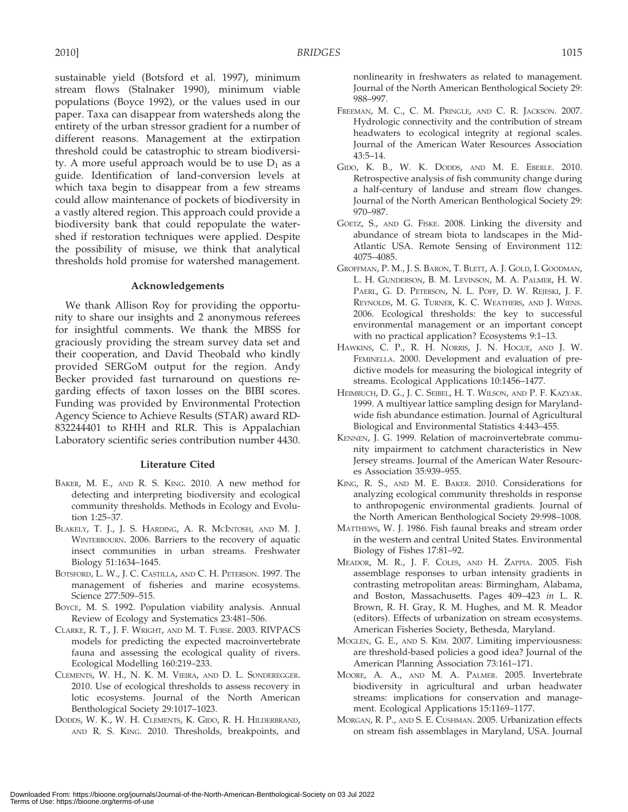sustainable yield (Botsford et al. 1997), minimum stream flows (Stalnaker 1990), minimum viable populations (Boyce 1992), or the values used in our paper. Taxa can disappear from watersheds along the entirety of the urban stressor gradient for a number of different reasons. Management at the extirpation threshold could be catastrophic to stream biodiversity. A more useful approach would be to use  $D_1$  as a guide. Identification of land-conversion levels at which taxa begin to disappear from a few streams could allow maintenance of pockets of biodiversity in a vastly altered region. This approach could provide a biodiversity bank that could repopulate the watershed if restoration techniques were applied. Despite the possibility of misuse, we think that analytical thresholds hold promise for watershed management.

### Acknowledgements

We thank Allison Roy for providing the opportunity to share our insights and 2 anonymous referees for insightful comments. We thank the MBSS for graciously providing the stream survey data set and their cooperation, and David Theobald who kindly provided SERGoM output for the region. Andy Becker provided fast turnaround on questions regarding effects of taxon losses on the BIBI scores. Funding was provided by Environmental Protection Agency Science to Achieve Results (STAR) award RD-832244401 to RHH and RLR. This is Appalachian Laboratory scientific series contribution number 4430.

### Literature Cited

- BAKER, M. E., AND R. S. KING. 2010. A new method for detecting and interpreting biodiversity and ecological community thresholds. Methods in Ecology and Evolution 1:25–37.
- BLAKELY, T. J., J. S. HARDING, A. R. MCINTOSH, AND M. J. WINTERBOURN. 2006. Barriers to the recovery of aquatic insect communities in urban streams. Freshwater Biology 51:1634–1645.
- BOTSFORD, L. W., J. C. CASTILLA, AND C. H. PETERSON. 1997. The management of fisheries and marine ecosystems. Science 277:509–515.
- BOYCE, M. S. 1992. Population viability analysis. Annual Review of Ecology and Systematics 23:481–506.
- CLARKE, R. T., J. F. WRIGHT, AND M. T. FURSE. 2003. RIVPACS models for predicting the expected macroinvertebrate fauna and assessing the ecological quality of rivers. Ecological Modelling 160:219–233.
- CLEMENTS, W. H., N. K. M. VIEIRA, AND D. L. SONDEREGGER. 2010. Use of ecological thresholds to assess recovery in lotic ecosystems. Journal of the North American Benthological Society 29:1017–1023.
- DODDS, W. K., W. H. CLEMENTS, K. GIDO, R. H. HILDERBRAND, AND R. S. KING. 2010. Thresholds, breakpoints, and

nonlinearity in freshwaters as related to management. Journal of the North American Benthological Society 29: 988–997.

- FREEMAN, M. C., C. M. PRINGLE, AND C. R. JACKSON. 2007. Hydrologic connectivity and the contribution of stream headwaters to ecological integrity at regional scales. Journal of the American Water Resources Association 43:5–14.
- GIDO, K. B., W. K. DODDS, AND M. E. EBERLE. 2010. Retrospective analysis of fish community change during a half-century of landuse and stream flow changes. Journal of the North American Benthological Society 29: 970–987.
- GOETZ, S., AND G. FISKE. 2008. Linking the diversity and abundance of stream biota to landscapes in the Mid-Atlantic USA. Remote Sensing of Environment 112: 4075–4085.
- GROFFMAN, P. M., J. S. BARON, T. BLETT, A. J. GOLD, I. GOODMAN, L. H. GUNDERSON, B. M. LEVINSON, M. A. PALMER, H. W. PAERL, G. D. PETERSON, N. L. POFF, D. W. REJESKI, J. F. REYNOLDS, M. G. TURNER, K. C. WEATHERS, AND J. WIENS. 2006. Ecological thresholds: the key to successful environmental management or an important concept with no practical application? Ecosystems 9:1–13.
- HAWKINS, C. P., R. H. NORRIS, J. N. HOGUE, AND J. W. FEMINELLA. 2000. Development and evaluation of predictive models for measuring the biological integrity of streams. Ecological Applications 10:1456–1477.
- HEIMBUCH, D. G., J. C. SEIBEL, H. T. WILSON, AND P. F. KAZYAK. 1999. A multiyear lattice sampling design for Marylandwide fish abundance estimation. Journal of Agricultural Biological and Environmental Statistics 4:443–455.
- KENNEN, J. G. 1999. Relation of macroinvertebrate community impairment to catchment characteristics in New Jersey streams. Journal of the American Water Resources Association 35:939–955.
- KING, R. S., AND M. E. BAKER. 2010. Considerations for analyzing ecological community thresholds in response to anthropogenic environmental gradients. Journal of the North American Benthological Society 29:998–1008.
- MATTHEWS, W. J. 1986. Fish faunal breaks and stream order in the western and central United States. Environmental Biology of Fishes 17:81–92.
- MEADOR, M. R., J. F. COLES, AND H. ZAPPIA. 2005. Fish assemblage responses to urban intensity gradients in contrasting metropolitan areas: Birmingham, Alabama, and Boston, Massachusetts. Pages 409–423 in L. R. Brown, R. H. Gray, R. M. Hughes, and M. R. Meador (editors). Effects of urbanization on stream ecosystems. American Fisheries Society, Bethesda, Maryland.
- MOGLEN, G. E., AND S. KIM. 2007. Limiting imperviousness: are threshold-based policies a good idea? Journal of the American Planning Association 73:161–171.
- MOORE, A. A., AND M. A. PALMER. 2005. Invertebrate biodiversity in agricultural and urban headwater streams: implications for conservation and management. Ecological Applications 15:1169–1177.
- MORGAN, R. P., AND S. E. CUSHMAN. 2005. Urbanization effects on stream fish assemblages in Maryland, USA. Journal